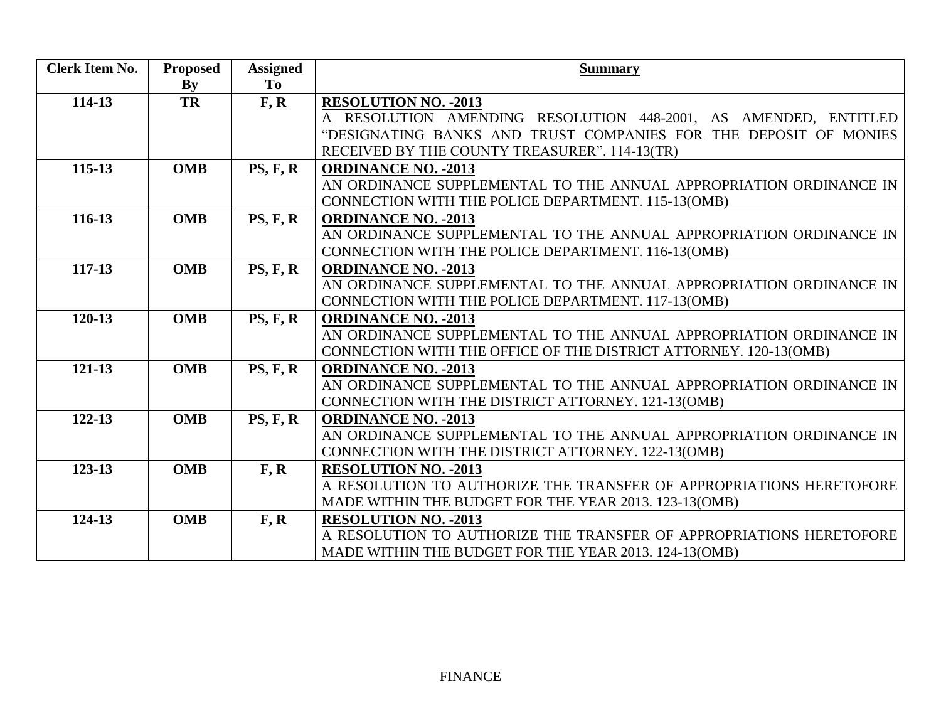| <b>Clerk Item No.</b> | <b>Proposed</b>        | <b>Assigned</b> | <b>Summary</b>                                                      |
|-----------------------|------------------------|-----------------|---------------------------------------------------------------------|
|                       | $\mathbf{B}\mathbf{y}$ | To              |                                                                     |
| 114-13                | TR                     | F, R            | <b>RESOLUTION NO. - 2013</b>                                        |
|                       |                        |                 | A RESOLUTION AMENDING RESOLUTION 448-2001, AS AMENDED, ENTITLED     |
|                       |                        |                 | "DESIGNATING BANKS AND TRUST COMPANIES FOR THE DEPOSIT OF MONIES    |
|                       |                        |                 | RECEIVED BY THE COUNTY TREASURER". 114-13(TR)                       |
| $115 - 13$            | <b>OMB</b>             | PS, F, R        | <b>ORDINANCE NO. - 2013</b>                                         |
|                       |                        |                 | AN ORDINANCE SUPPLEMENTAL TO THE ANNUAL APPROPRIATION ORDINANCE IN  |
|                       |                        |                 | CONNECTION WITH THE POLICE DEPARTMENT. 115-13(OMB)                  |
| 116-13                | <b>OMB</b>             | PS, F, R        | <b>ORDINANCE NO. - 2013</b>                                         |
|                       |                        |                 | AN ORDINANCE SUPPLEMENTAL TO THE ANNUAL APPROPRIATION ORDINANCE IN  |
|                       |                        |                 | CONNECTION WITH THE POLICE DEPARTMENT. 116-13(OMB)                  |
| 117-13                | <b>OMB</b>             | PS, F, R        | <b>ORDINANCE NO. - 2013</b>                                         |
|                       |                        |                 | AN ORDINANCE SUPPLEMENTAL TO THE ANNUAL APPROPRIATION ORDINANCE IN  |
|                       |                        |                 | CONNECTION WITH THE POLICE DEPARTMENT. 117-13(OMB)                  |
| 120-13                | <b>OMB</b>             | PS, F, R        | <b>ORDINANCE NO. - 2013</b>                                         |
|                       |                        |                 | AN ORDINANCE SUPPLEMENTAL TO THE ANNUAL APPROPRIATION ORDINANCE IN  |
|                       |                        |                 | CONNECTION WITH THE OFFICE OF THE DISTRICT ATTORNEY. 120-13(OMB)    |
| 121-13                | <b>OMB</b>             | PS, F, R        | <b>ORDINANCE NO. - 2013</b>                                         |
|                       |                        |                 | AN ORDINANCE SUPPLEMENTAL TO THE ANNUAL APPROPRIATION ORDINANCE IN  |
|                       |                        |                 | CONNECTION WITH THE DISTRICT ATTORNEY. 121-13(OMB)                  |
| $122 - 13$            | <b>OMB</b>             | PS, F, R        | <b>ORDINANCE NO. - 2013</b>                                         |
|                       |                        |                 | AN ORDINANCE SUPPLEMENTAL TO THE ANNUAL APPROPRIATION ORDINANCE IN  |
|                       |                        |                 | CONNECTION WITH THE DISTRICT ATTORNEY. 122-13(OMB)                  |
| 123-13                | <b>OMB</b>             | F, R            | <b>RESOLUTION NO. - 2013</b>                                        |
|                       |                        |                 | A RESOLUTION TO AUTHORIZE THE TRANSFER OF APPROPRIATIONS HERETOFORE |
|                       |                        |                 | MADE WITHIN THE BUDGET FOR THE YEAR 2013. 123-13(OMB)               |
| 124-13                | <b>OMB</b>             | F, R            | <b>RESOLUTION NO. - 2013</b>                                        |
|                       |                        |                 | A RESOLUTION TO AUTHORIZE THE TRANSFER OF APPROPRIATIONS HERETOFORE |
|                       |                        |                 | MADE WITHIN THE BUDGET FOR THE YEAR 2013. 124-13(OMB)               |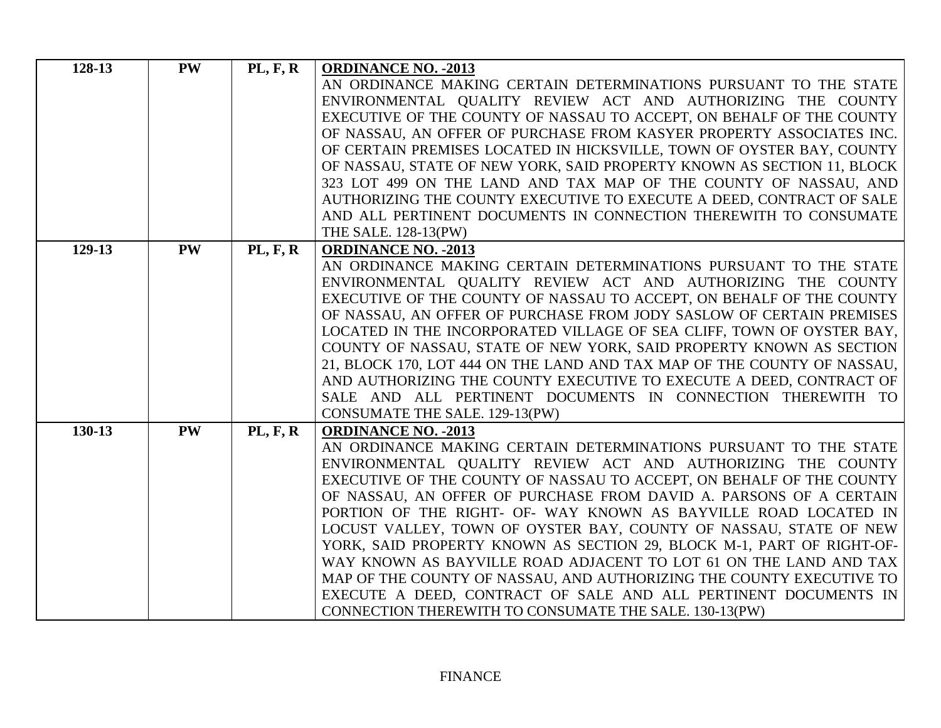| 128-13 | <b>PW</b> | PL, F, R        | <b>ORDINANCE NO. - 2013</b>                                                                                                                |
|--------|-----------|-----------------|--------------------------------------------------------------------------------------------------------------------------------------------|
|        |           |                 | AN ORDINANCE MAKING CERTAIN DETERMINATIONS PURSUANT TO THE STATE                                                                           |
|        |           |                 | ENVIRONMENTAL QUALITY REVIEW ACT AND AUTHORIZING THE COUNTY                                                                                |
|        |           |                 | EXECUTIVE OF THE COUNTY OF NASSAU TO ACCEPT, ON BEHALF OF THE COUNTY                                                                       |
|        |           |                 | OF NASSAU, AN OFFER OF PURCHASE FROM KASYER PROPERTY ASSOCIATES INC.                                                                       |
|        |           |                 | OF CERTAIN PREMISES LOCATED IN HICKSVILLE, TOWN OF OYSTER BAY, COUNTY                                                                      |
|        |           |                 | OF NASSAU, STATE OF NEW YORK, SAID PROPERTY KNOWN AS SECTION 11, BLOCK                                                                     |
|        |           |                 | 323 LOT 499 ON THE LAND AND TAX MAP OF THE COUNTY OF NASSAU, AND                                                                           |
|        |           |                 | AUTHORIZING THE COUNTY EXECUTIVE TO EXECUTE A DEED, CONTRACT OF SALE                                                                       |
|        |           |                 | AND ALL PERTINENT DOCUMENTS IN CONNECTION THEREWITH TO CONSUMATE                                                                           |
|        |           |                 | THE SALE. 128-13(PW)                                                                                                                       |
| 129-13 | <b>PW</b> | <b>PL, F, R</b> | <b>ORDINANCE NO. - 2013</b>                                                                                                                |
|        |           |                 | AN ORDINANCE MAKING CERTAIN DETERMINATIONS PURSUANT TO THE STATE                                                                           |
|        |           |                 | ENVIRONMENTAL QUALITY REVIEW ACT AND AUTHORIZING THE COUNTY                                                                                |
|        |           |                 | EXECUTIVE OF THE COUNTY OF NASSAU TO ACCEPT, ON BEHALF OF THE COUNTY                                                                       |
|        |           |                 | OF NASSAU, AN OFFER OF PURCHASE FROM JODY SASLOW OF CERTAIN PREMISES                                                                       |
|        |           |                 | LOCATED IN THE INCORPORATED VILLAGE OF SEA CLIFF, TOWN OF OYSTER BAY,                                                                      |
|        |           |                 | COUNTY OF NASSAU, STATE OF NEW YORK, SAID PROPERTY KNOWN AS SECTION                                                                        |
|        |           |                 | 21, BLOCK 170, LOT 444 ON THE LAND AND TAX MAP OF THE COUNTY OF NASSAU,                                                                    |
|        |           |                 | AND AUTHORIZING THE COUNTY EXECUTIVE TO EXECUTE A DEED, CONTRACT OF                                                                        |
|        |           |                 | SALE AND ALL PERTINENT DOCUMENTS IN CONNECTION THEREWITH TO                                                                                |
|        |           |                 | CONSUMATE THE SALE. 129-13(PW)                                                                                                             |
| 130-13 | <b>PW</b> | <b>PL, F, R</b> | <b>ORDINANCE NO. - 2013</b>                                                                                                                |
|        |           |                 | AN ORDINANCE MAKING CERTAIN DETERMINATIONS PURSUANT TO THE STATE                                                                           |
|        |           |                 | ENVIRONMENTAL QUALITY REVIEW ACT AND AUTHORIZING THE COUNTY                                                                                |
|        |           |                 | EXECUTIVE OF THE COUNTY OF NASSAU TO ACCEPT, ON BEHALF OF THE COUNTY<br>OF NASSAU, AN OFFER OF PURCHASE FROM DAVID A. PARSONS OF A CERTAIN |
|        |           |                 | PORTION OF THE RIGHT- OF- WAY KNOWN AS BAYVILLE ROAD LOCATED IN                                                                            |
|        |           |                 | LOCUST VALLEY, TOWN OF OYSTER BAY, COUNTY OF NASSAU, STATE OF NEW                                                                          |
|        |           |                 |                                                                                                                                            |
|        |           |                 |                                                                                                                                            |
|        |           |                 | YORK, SAID PROPERTY KNOWN AS SECTION 29, BLOCK M-1, PART OF RIGHT-OF-                                                                      |
|        |           |                 | WAY KNOWN AS BAYVILLE ROAD ADJACENT TO LOT 61 ON THE LAND AND TAX                                                                          |
|        |           |                 | MAP OF THE COUNTY OF NASSAU, AND AUTHORIZING THE COUNTY EXECUTIVE TO<br>EXECUTE A DEED, CONTRACT OF SALE AND ALL PERTINENT DOCUMENTS IN    |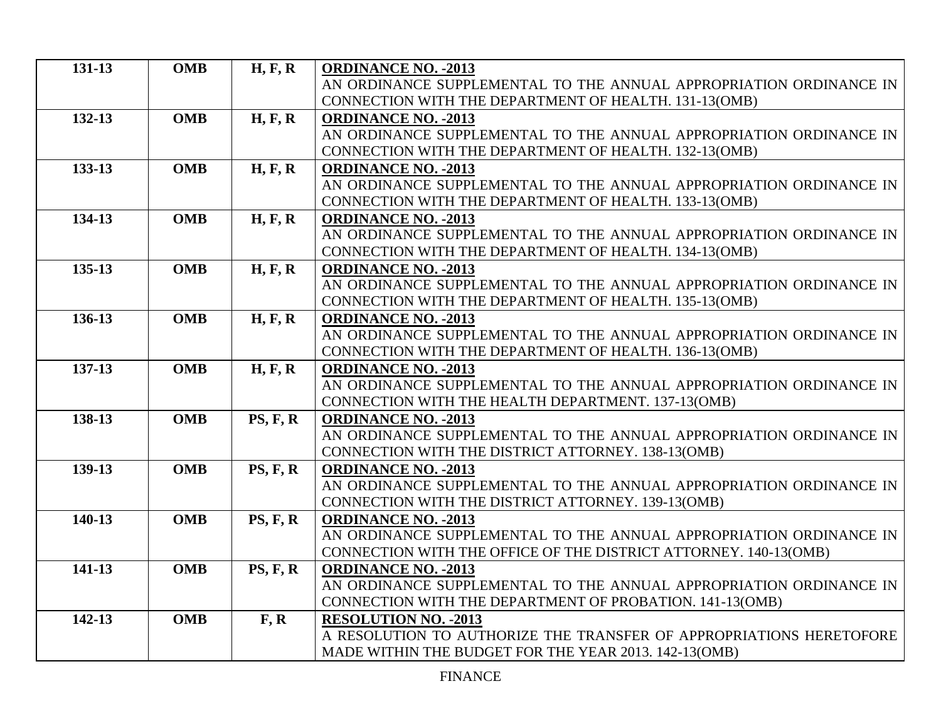| 131-13 | <b>OMB</b> | H, F, R         | <b>ORDINANCE NO. - 2013</b>                                                                                                  |
|--------|------------|-----------------|------------------------------------------------------------------------------------------------------------------------------|
|        |            |                 | AN ORDINANCE SUPPLEMENTAL TO THE ANNUAL APPROPRIATION ORDINANCE IN                                                           |
|        |            |                 | CONNECTION WITH THE DEPARTMENT OF HEALTH. 131-13(OMB)                                                                        |
| 132-13 | <b>OMB</b> | H, F, R         | <b>ORDINANCE NO. - 2013</b>                                                                                                  |
|        |            |                 | AN ORDINANCE SUPPLEMENTAL TO THE ANNUAL APPROPRIATION ORDINANCE IN                                                           |
|        |            |                 | CONNECTION WITH THE DEPARTMENT OF HEALTH. 132-13(OMB)                                                                        |
| 133-13 | <b>OMB</b> | H, F, R         | <b>ORDINANCE NO. - 2013</b>                                                                                                  |
|        |            |                 | AN ORDINANCE SUPPLEMENTAL TO THE ANNUAL APPROPRIATION ORDINANCE IN                                                           |
|        |            |                 | CONNECTION WITH THE DEPARTMENT OF HEALTH. 133-13(OMB)                                                                        |
| 134-13 | <b>OMB</b> | H, F, R         | <b>ORDINANCE NO. - 2013</b>                                                                                                  |
|        |            |                 | AN ORDINANCE SUPPLEMENTAL TO THE ANNUAL APPROPRIATION ORDINANCE IN                                                           |
|        |            |                 | CONNECTION WITH THE DEPARTMENT OF HEALTH. 134-13(OMB)                                                                        |
| 135-13 | <b>OMB</b> | H, F, R         | <b>ORDINANCE NO. - 2013</b>                                                                                                  |
|        |            |                 | AN ORDINANCE SUPPLEMENTAL TO THE ANNUAL APPROPRIATION ORDINANCE IN                                                           |
|        |            |                 | <b>CONNECTION WITH THE DEPARTMENT OF HEALTH. 135-13(OMB)</b>                                                                 |
| 136-13 | <b>OMB</b> | H, F, R         | <b>ORDINANCE NO. - 2013</b>                                                                                                  |
|        |            |                 | AN ORDINANCE SUPPLEMENTAL TO THE ANNUAL APPROPRIATION ORDINANCE IN                                                           |
|        |            |                 | CONNECTION WITH THE DEPARTMENT OF HEALTH. 136-13(OMB)                                                                        |
| 137-13 | <b>OMB</b> | H, F, R         | <b>ORDINANCE NO. - 2013</b>                                                                                                  |
|        |            |                 | AN ORDINANCE SUPPLEMENTAL TO THE ANNUAL APPROPRIATION ORDINANCE IN                                                           |
|        |            |                 | CONNECTION WITH THE HEALTH DEPARTMENT. 137-13(OMB)                                                                           |
| 138-13 | <b>OMB</b> | PS, F, R        | <b>ORDINANCE NO. - 2013</b>                                                                                                  |
|        |            |                 | AN ORDINANCE SUPPLEMENTAL TO THE ANNUAL APPROPRIATION ORDINANCE IN                                                           |
|        |            |                 | CONNECTION WITH THE DISTRICT ATTORNEY. 138-13(OMB)                                                                           |
| 139-13 | <b>OMB</b> | <b>PS, F, R</b> | <b>ORDINANCE NO. - 2013</b>                                                                                                  |
|        |            |                 | AN ORDINANCE SUPPLEMENTAL TO THE ANNUAL APPROPRIATION ORDINANCE IN                                                           |
|        |            |                 | CONNECTION WITH THE DISTRICT ATTORNEY. 139-13(OMB)                                                                           |
| 140-13 | <b>OMB</b> | <b>PS, F, R</b> | <b>ORDINANCE NO. - 2013</b>                                                                                                  |
|        |            |                 | AN ORDINANCE SUPPLEMENTAL TO THE ANNUAL APPROPRIATION ORDINANCE IN                                                           |
|        |            |                 | CONNECTION WITH THE OFFICE OF THE DISTRICT ATTORNEY. 140-13(OMB)                                                             |
| 141-13 | <b>OMB</b> | <b>PS, F, R</b> | <b>ORDINANCE NO. - 2013</b>                                                                                                  |
|        |            |                 | AN ORDINANCE SUPPLEMENTAL TO THE ANNUAL APPROPRIATION ORDINANCE IN                                                           |
|        |            |                 | CONNECTION WITH THE DEPARTMENT OF PROBATION. 141-13(OMB)                                                                     |
| 142-13 | <b>OMB</b> | F, R            | <b>RESOLUTION NO. - 2013</b>                                                                                                 |
|        |            |                 |                                                                                                                              |
|        |            |                 | A RESOLUTION TO AUTHORIZE THE TRANSFER OF APPROPRIATIONS HERETOFORE<br>MADE WITHIN THE BUDGET FOR THE YEAR 2013. 142-13(OMB) |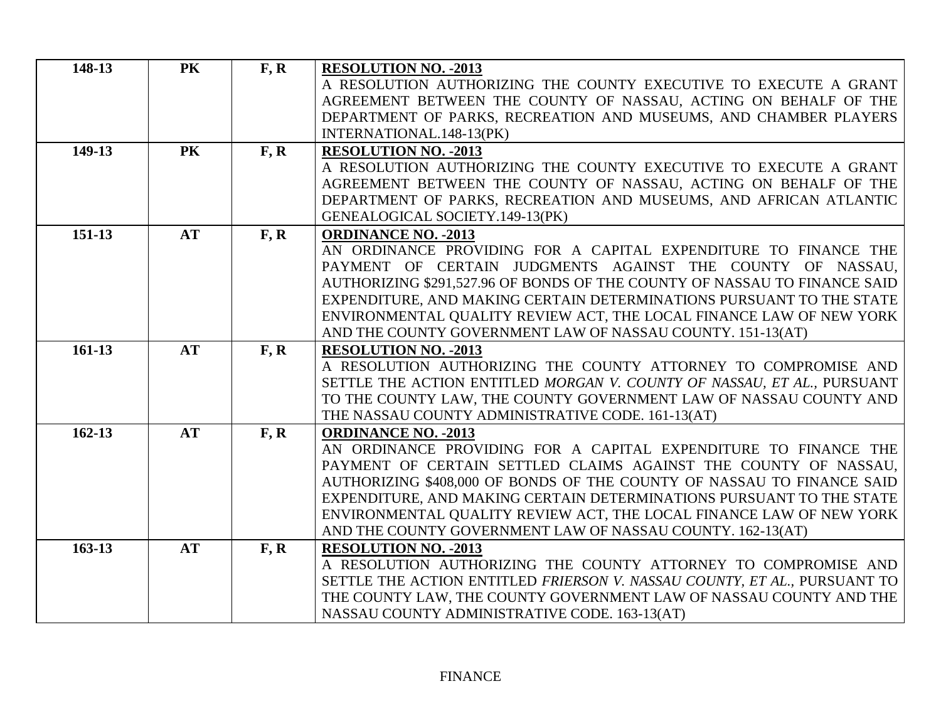| 148-13     | <b>PK</b> | F, R | <b>RESOLUTION NO. - 2013</b>                                                                                                      |
|------------|-----------|------|-----------------------------------------------------------------------------------------------------------------------------------|
|            |           |      | A RESOLUTION AUTHORIZING THE COUNTY EXECUTIVE TO EXECUTE A GRANT                                                                  |
|            |           |      | AGREEMENT BETWEEN THE COUNTY OF NASSAU, ACTING ON BEHALF OF THE                                                                   |
|            |           |      | DEPARTMENT OF PARKS, RECREATION AND MUSEUMS, AND CHAMBER PLAYERS                                                                  |
|            |           |      | INTERNATIONAL.148-13(PK)                                                                                                          |
| 149-13     | <b>PK</b> | F, R | <b>RESOLUTION NO. - 2013</b>                                                                                                      |
|            |           |      | A RESOLUTION AUTHORIZING THE COUNTY EXECUTIVE TO EXECUTE A GRANT                                                                  |
|            |           |      | AGREEMENT BETWEEN THE COUNTY OF NASSAU, ACTING ON BEHALF OF THE                                                                   |
|            |           |      | DEPARTMENT OF PARKS, RECREATION AND MUSEUMS, AND AFRICAN ATLANTIC                                                                 |
|            |           |      | GENEALOGICAL SOCIETY.149-13(PK)                                                                                                   |
| 151-13     | <b>AT</b> | F, R | <b>ORDINANCE NO. - 2013</b>                                                                                                       |
|            |           |      | AN ORDINANCE PROVIDING FOR A CAPITAL EXPENDITURE TO FINANCE THE                                                                   |
|            |           |      | PAYMENT OF CERTAIN JUDGMENTS AGAINST THE COUNTY OF NASSAU,                                                                        |
|            |           |      | AUTHORIZING \$291,527.96 OF BONDS OF THE COUNTY OF NASSAU TO FINANCE SAID                                                         |
|            |           |      | EXPENDITURE, AND MAKING CERTAIN DETERMINATIONS PURSUANT TO THE STATE                                                              |
|            |           |      | ENVIRONMENTAL QUALITY REVIEW ACT, THE LOCAL FINANCE LAW OF NEW YORK<br>AND THE COUNTY GOVERNMENT LAW OF NASSAU COUNTY. 151-13(AT) |
| $161-13$   | AT        | F, R | <b>RESOLUTION NO. - 2013</b>                                                                                                      |
|            |           |      | A RESOLUTION AUTHORIZING THE COUNTY ATTORNEY TO COMPROMISE AND                                                                    |
|            |           |      | SETTLE THE ACTION ENTITLED MORGAN V. COUNTY OF NASSAU, ET AL., PURSUANT                                                           |
|            |           |      | TO THE COUNTY LAW, THE COUNTY GOVERNMENT LAW OF NASSAU COUNTY AND                                                                 |
|            |           |      | THE NASSAU COUNTY ADMINISTRATIVE CODE. 161-13(AT)                                                                                 |
| $162 - 13$ | <b>AT</b> | F, R | <b>ORDINANCE NO. - 2013</b>                                                                                                       |
|            |           |      | AN ORDINANCE PROVIDING FOR A CAPITAL EXPENDITURE TO FINANCE THE                                                                   |
|            |           |      | PAYMENT OF CERTAIN SETTLED CLAIMS AGAINST THE COUNTY OF NASSAU,                                                                   |
|            |           |      | AUTHORIZING \$408,000 OF BONDS OF THE COUNTY OF NASSAU TO FINANCE SAID                                                            |
|            |           |      | EXPENDITURE, AND MAKING CERTAIN DETERMINATIONS PURSUANT TO THE STATE                                                              |
|            |           |      | ENVIRONMENTAL QUALITY REVIEW ACT, THE LOCAL FINANCE LAW OF NEW YORK                                                               |
|            |           |      | AND THE COUNTY GOVERNMENT LAW OF NASSAU COUNTY. 162-13(AT)                                                                        |
| $163 - 13$ | <b>AT</b> | F, R | <b>RESOLUTION NO. - 2013</b>                                                                                                      |
|            |           |      | A RESOLUTION AUTHORIZING THE COUNTY ATTORNEY TO COMPROMISE AND                                                                    |
|            |           |      | SETTLE THE ACTION ENTITLED FRIERSON V. NASSAU COUNTY, ET AL., PURSUANT TO                                                         |
|            |           |      | THE COUNTY LAW, THE COUNTY GOVERNMENT LAW OF NASSAU COUNTY AND THE                                                                |
|            |           |      | NASSAU COUNTY ADMINISTRATIVE CODE. 163-13(AT)                                                                                     |